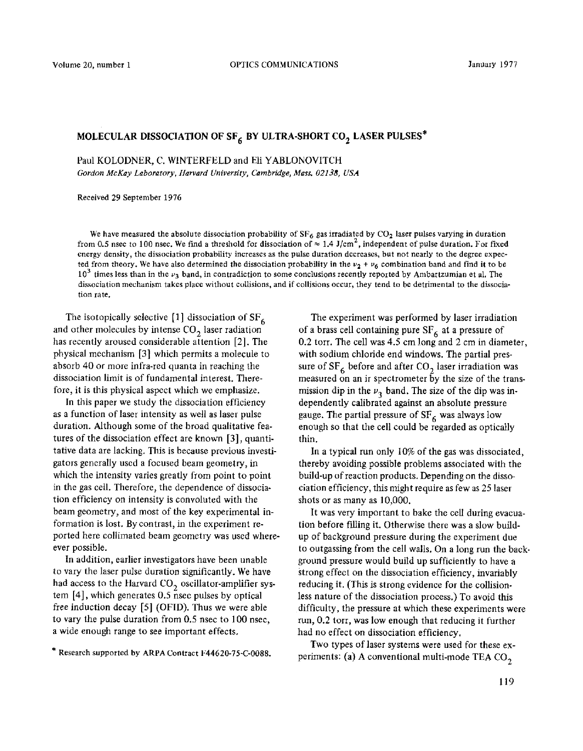## **MOLECULAR DISSOCIATION OF SF<sub>6</sub> BY ULTRA-SHORT CO<sub>2</sub> LASER PULSES\***

Paul KOLODNER, C. WINTERFELD and Eli YABLONOVITCH

*Gordon McKay Laboratory, Harvard University, Cambridge, Mass. 02138, USA* 

Received 29 September 1976

We have measured the absolute dissociation probability of  $SF_6$  gas irradiated by  $CO_2$  laser pulses varying in duration from 0.5 nsec to 100 nsec. We find a threshold for dissociation of  $\approx 1.4$  J/cm<sup>2</sup>, independent of pulse duration. For fixed energy density, the dissociation probability increases as the pulse duration decreases, but not nearly to the degree expected from theory. We have also determined the dissociation probability in the  $v_2 + v_6$  combination band and find it to be  $10<sup>3</sup>$  times less than in the  $\nu_3$  band, in contradiction to some conclusions recently reported by Ambartzumian et al. The dissociation mechanism takes place without collisions, and if collisions occur, they tend to be detrimental to the dissociation rate.

The isotopically selective [1] dissociation of  $SF_6$ and other molecules by intense  $CO<sub>2</sub>$  laser radiation has recently aroused considerable attention [2]. The physical mechanism [3] which permits a molecule to absorb 40 or more infra-red quanta in reaching the dissociation limit is of fundamental interest. Therefore, it is this physical aspect which we emphasize.

In this paper we study the dissociation efficiency as a function of laser intensity as well as laser pulse duration. Although some of the broad qualitative features of the dissociation effect are known [3], quantitative data are lacking. This is because previous investigators generally used a focused beam geometry, in which the intensity varies greatly from point to point in the gas cell. Therefore, the dependence of dissociation efficiency on intensity is convoluted with the beam geometry, and most of the key experimental information is lost. By contrast, in the experiment reported here collimated beam geometry was used whereever possible.

In addition, earlier investigators have been unable to vary the laser pulse duration significantly. We have had access to the Harvard  $CO<sub>2</sub>$  oscillator-amplifier system [4], which generates 0.5 nsec pulses by optical free induction decay [5] (OFID). Thus we were able to vary the pulse duration from 0.5 nsec to 100 nsec, a wide enough range to see important effects.

The experiment was performed by laser irradiation of a brass cell containing pure  $SF<sub>6</sub>$  at a pressure of 0.2 torr. The cell was 4.5 cm long and 2 cm in diameter, with sodium chloride end windows. The partial pressure of  $SF_6$  before and after  $CO_2$  laser irradiation was measured on an ir spectrometer by the size of the transmission dip in the  $\nu_3$  band. The size of the dip was independently calibrated against an absolute pressure gauge. The partial pressure of  $SF_6$  was always low enough so that the cell could be regarded as optically thin.

In a typical run only 10% of the gas was dissociated, thereby avoiding possible problems associated with the build-up of reaction products. Depending on the dissociation efficiency, this might require as few as 25 laser shots or as many as 10,000.

It was very important to bake the cell during evacuation before filling it. Otherwise there was a slow buildup of background pressure during the experiment due to outgassing from the cell walls. On a long run the background pressure would build up sufficiently to have a strong effect on the dissociation efficiency, invariably reducing it. (This is strong evidence for the collisionless nature of the dissociation process.) To avoid this difficulty, the pressure at which these experiments were run, 0.2 torr, was low enough that reducing it further had no effect on dissociation efficiency.

Two types of laser systems were used for these experiments: (a) A conventional multi-mode TEA  $CO<sub>2</sub>$ 

<sup>\*</sup> Research supported by ARPA Contract F44620-75-C-0088.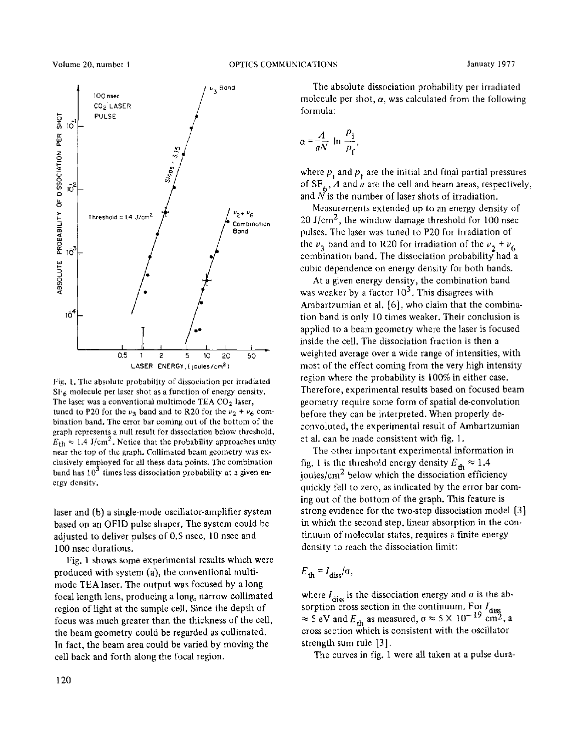

f:ig. 1. The absolute probability of dissociation per irradiated  $SF<sub>6</sub>$  molecule per laser shot as a function of energy density. The laser was a conventional multimode TEA  $CO<sub>2</sub>$  laser, tuned to P20 for the  $v_3$  band and to R20 for the  $v_2 + v_6$  combination band. The error bar coming out of the bottom of the graph represents a null result for dissociation below threshold,  $E_{\text{th}} \approx 1.4 \text{ J/cm}^2$ . Notice that the probability approaches unity near the top of the graph. Collimated beam geometry was exclusively employed for all these data points. The combination band has  $10<sup>3</sup>$  times less dissociation probability at a given energy density.

laser and (b) a single-mode oscillator-amplifier system based on an OF1D pulse shaper. The system could be adjusted to deliver pulses of 0.5 nsec, 10 nsec and 100 nsec durations.

Fig. 1 shows some experimental results which were produced with system (a), the conventional multimode TEA laser. The output was focused by a long focal length lens, producing a long, narrow collimated region of light at the sample cell. Since the depth of focus was much greater than the thickness of the cell, the beam geometry could be regarded as collimated. In fact, the beam area could be varied by moving the cell back and forth along the focal region.

The absolute dissociation probability per irradiated molecule per shot,  $\alpha$ , was calculated from the following formula:

$$
\alpha = \frac{A}{aN} \ln \frac{p_i}{p_f},
$$

where  $p_i$  and  $p_f$  are the initial and final partial pressures of  $SF_6$ , *A* and *a* are the cell and beam areas, respectively, and  $\tilde{N}$  is the number of laser shots of irradiation.

Measurements extended up to an energy density of 20 J/cm<sup>2</sup>, the window damage threshold for 100 nsec pulses. The laser was tuned to P20 for irradiation of the  $v_3$  band and to R20 for irradiation of the  $v_2 + v_6$ combination band. The dissociation probability had a cubic dependence on energy density for both bands.

At a given energy density, the combination band was weaker by a factor  $10^3$ . This disagrees with Ambartzumian et al. [6], who claim that the combination band is only 10 times weaker. Their conclusion is applied to a beam geometry where the laser is focused inside the cell. The dissociation fraction is then a weighted average over a wide range of intensities, with most of the effect coming from the very high intensity region where the probability is 100% in either case. Therefore, experimental results based on focused beam geometry require some form of spatial de-convolution before they can be interpreted. When properly deconvoluted, the experimental result of Ambartzumian et al. can be made consistent with fig. 1.

The other important experimental information in fig. 1 is the threshold energy density  $E_{th} \approx 1.4$ joules/ $\text{cm}^2$  below which the dissociation efficiency quickly fell to zero, as indicated by the error bar coming out of the bottom of the graph. This feature is strong evidence for the two-step dissociation model [3] in which the second step, linear absorption in the continuum of molecular states, requires a finite energy density to reach the dissociation limit:

$$
E_{\rm th} = I_{\rm diss}/\sigma,
$$

where  $I_{\text{diss}}$  is the dissociation energy and  $\sigma$  is the absorption cross section in the continuum. For  $I_{di}$  $\approx$  5 eV and  $E_{4h}$  as measured,  $\sigma \approx$  5 × 10<sup>-12</sup> cm<sup>2</sup>, a cross section which is consistent with the oscillator strength sum rule [3].

The curves in fig. 1 were all taken at a pulse dura-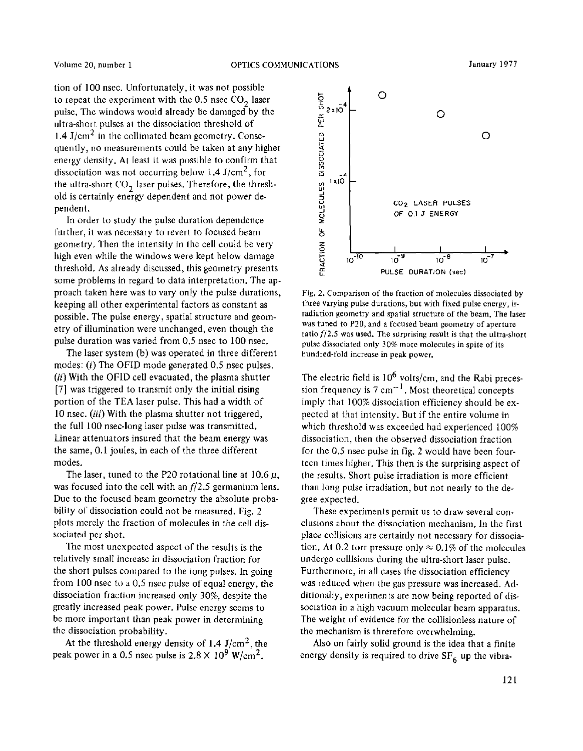tion of 100 nsec. Unfortunately, it was not possible to repeat the experiment with the  $0.5$  nsec  $CO<sub>2</sub>$  laser pulse. The windows would already be damaged by the ultra-short pulses at the dissociation threshold of 1.4 J/cm<sup>2</sup> in the collimated beam geometry. Consequently, no measurements could be taken at any higher energy density. At least it was possible to confirm that dissociation was not occurring below 1.4 J/cm<sup>2</sup>, for the ultra-short  $CO<sub>2</sub>$  laser pulses. Therefore, the threshold is certainly energy dependent and not power dependent.

In order to study the pulse duration dependence further, it was necessary to revert to focused beam geometry. Then the intensity in the cell could be very high even while the windows were kept below damage threshold. As already discussed, this geometry presents some problems in regard to data interpretation. The approach taken here was to vary only the pulse durations, keeping all other experimental factors as constant as possible. The pulse energy, spatial structure and geometry of illumination were unchanged, even though the pulse duration was varied from 0.5 nsec to 100 nsec.

The laser system (b) was operated in three different modes: (i) The OFID mode generated 0.5 nsec pulses. *(ii)* With the OFID cell evacuated, the plasma shutter [7] was triggered to transmit only the initial rising portion of the TEA laser pulse. This had a width of 10 nsec. *(iii)* With the plasma shutter not triggered, the full 100 nsec-long laser pulse was transmitted. Linear attenuators insured that the beam energy was the same, 0.1 joules, in each of the three different modes.

The laser, tuned to the P20 rotational line at 10.6  $\mu$ , was focused into the cell with an *f/2.5* germanium lens. Due to the focused beam geometry the absolute probability of dissociation could not be measured. Fig. 2 plots merely the fraction of molecules in the cell dissociated per shot.

The most unexpected aspect of the results is the relatively small increase in dissociation fraction for the short pulses compared to the long pulses. In going from 100 nsec to a 0.5 nsec pulse of equal energy, the dissociation fraction increased only 30%, despite the greatly increased peak power. Pulse energy seems to be more important than peak power in determining the dissociation probability.

At the threshold energy density of 1.4  $J/cm<sup>2</sup>$ , the peak power in a 0.5 nsec pulse is  $2.8 \times 10^9$  W/cm<sup>2</sup>.



Fig. 2. Comparison of the fraction of molecules dissociated by three varying pulse durations, but with fixed pulse energy, irradiation geometry and spatial structure of the beam. The laser was tuned to P20, and a focused beam geometry of aperture ratio *f/2.5* was used. The surprising result is that the ultra-short pulse dissociated only 30% more molecules in spite of its hundred-fold increase in peak power.

The electric field is  $10^6$  volts/cm, and the Rabi precession frequency is  $7 \text{ cm}^{-1}$ . Most theoretical concepts imply that 100% dissociation efficiency should be expected at that intensity. But if the entire volume in which threshold was exceeded had experienced 100% dissociation, then the observed dissociation fraction for the 0.5 nsec pulse in fig. 2 would have been fourteen times higher. This then is the surprising aspect of the results. Short pulse irradiation is more efficient than long pulse irradiation, but not nearly to the degree expected.

These experiments permit us to draw several conclusions about the dissociation mechanism. In the first place collisions are certainly not necessary for dissociation. At 0.2 torr pressure only  $\approx 0.1\%$  of the molecules undergo collisions during the ultra-short laser pulse. Furthermore, in all cases the dissociation efficiency was reduced when the gas pressure was increased. Additionally, experiments are now being reported of dissociation in a high vacuum molecular beam apparatus. The weight of evidence for the collisionless nature of the mechanism is threrefore overwhelming.

Also on fairly solid ground is the idea that a finite energy density is required to drive  $SF<sub>6</sub>$  up the vibra